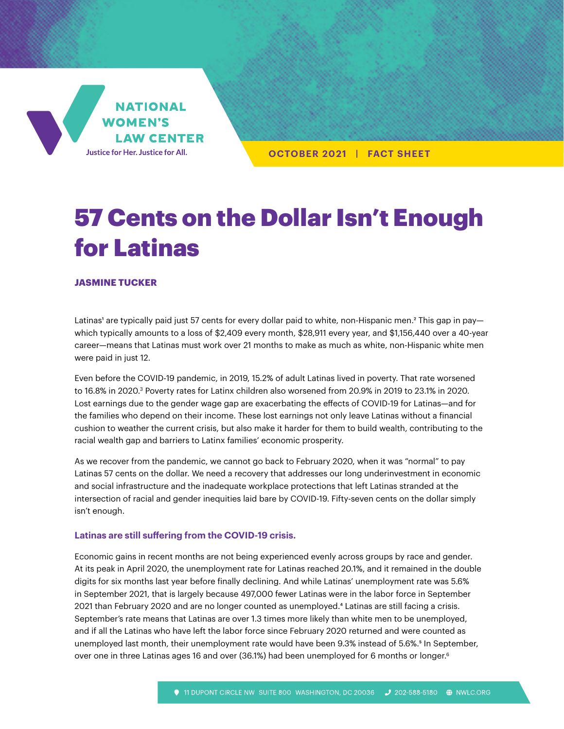

**OCTOBER 2021 | FACT SHEET**

# 57 Cents on the Dollar Isn't Enough for Latinas

#### **JASMINE TUCKER**

Latinas' are typically paid just 57 cents for every dollar paid to white, non-Hispanic men.<sup>2</sup> This gap in pay which typically amounts to a loss of \$2,409 every month, \$28,911 every year, and \$1,156,440 over a 40-year career—means that Latinas must work over 21 months to make as much as white, non-Hispanic white men were paid in just 12.

Even before the COVID-19 pandemic, in 2019, 15.2% of adult Latinas lived in poverty. That rate worsened to 16.8% in 2020.<sup>3</sup> Poverty rates for Latinx children also worsened from 20.9% in 2019 to 23.1% in 2020. Lost earnings due to the gender wage gap are exacerbating the effects of COVID-19 for Latinas—and for the families who depend on their income. These lost earnings not only leave Latinas without a financial cushion to weather the current crisis, but also make it harder for them to build wealth, contributing to the racial wealth gap and barriers to Latinx families' economic prosperity.

As we recover from the pandemic, we cannot go back to February 2020, when it was "normal" to pay Latinas 57 cents on the dollar. We need a recovery that addresses our long underinvestment in economic and social infrastructure and the inadequate workplace protections that left Latinas stranded at the intersection of racial and gender inequities laid bare by COVID-19. Fifty-seven cents on the dollar simply isn't enough.

#### **Latinas are still suffering from the COVID-19 crisis.**

Economic gains in recent months are not being experienced evenly across groups by race and gender. At its peak in April 2020, the unemployment rate for Latinas reached 20.1%, and it remained in the double digits for six months last year before finally declining. And while Latinas' unemployment rate was 5.6% in September 2021, that is largely because 497,000 fewer Latinas were in the labor force in September 2021 than February 2020 and are no longer counted as unemployed.<sup>4</sup> Latinas are still facing a crisis. September's rate means that Latinas are over 1.3 times more likely than white men to be unemployed, and if all the Latinas who have left the labor force since February 2020 returned and were counted as unemployed last month, their unemployment rate would have been 9.3% instead of 5.6%.<sup>5</sup> In September, over one in three Latinas ages 16 and over (36.1%) had been unemployed for 6 months or longer.<sup>6</sup>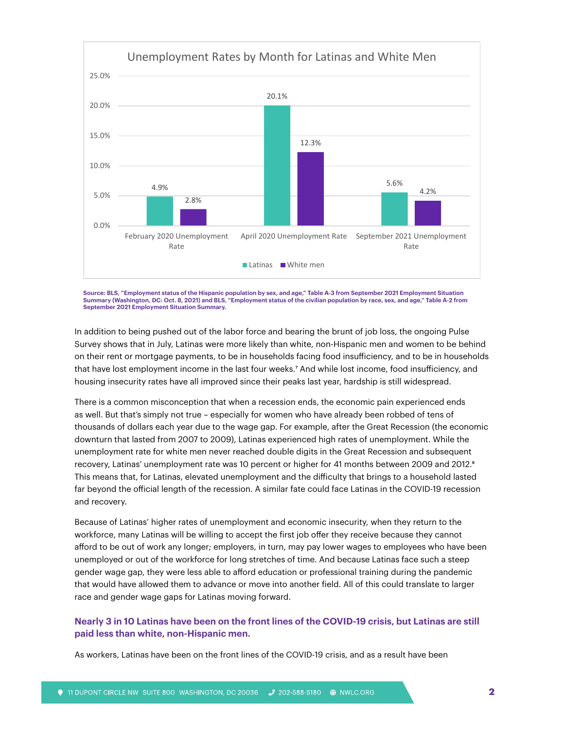

Source: BLS, "Employment status of the Hispanic population by sex, and age," Table A-3 from September 2021 Employment Situation<br>Summary (Washington, DC: Oct. 8, 2021) and BLS, "Employment status of the civilian population **September 2021 Employment Situation Summary.**

In addition to being pushed out of the labor force and bearing the brunt of job loss, the ongoing Pulse Survey shows that in July, Latinas were more likely than white, non-Hispanic men and women to be behind on their rent or mortgage payments, to be in households facing food insufficiency, and to be in households that have lost employment income in the last four weeks.7 And while lost income, food insufficiency, and housing insecurity rates have all improved since their peaks last year, hardship is still widespread.

There is a common misconception that when a recession ends, the economic pain experienced ends as well. But that's simply not true – especially for women who have already been robbed of tens of thousands of dollars each year due to the wage gap. For example, after the Great Recession (the economic downturn that lasted from 2007 to 2009), Latinas experienced high rates of unemployment. While the unemployment rate for white men never reached double digits in the Great Recession and subsequent recovery, Latinas' unemployment rate was 10 percent or higher for 41 months between 2009 and 2012.<sup>8</sup> This means that, for Latinas, elevated unemployment and the difficulty that brings to a household lasted far beyond the official length of the recession. A similar fate could face Latinas in the COVID-19 recession and recovery.

Because of Latinas' higher rates of unemployment and economic insecurity, when they return to the workforce, many Latinas will be willing to accept the first job offer they receive because they cannot afford to be out of work any longer; employers, in turn, may pay lower wages to employees who have been unemployed or out of the workforce for long stretches of time. And because Latinas face such a steep gender wage gap, they were less able to afford education or professional training during the pandemic that would have allowed them to advance or move into another field. All of this could translate to larger race and gender wage gaps for Latinas moving forward.

## **Nearly 3 in 10 Latinas have been on the front lines of the COVID-19 crisis, but Latinas are still paid less than white, non-Hispanic men.**

As workers, Latinas have been on the front lines of the COVID-19 crisis, and as a result have been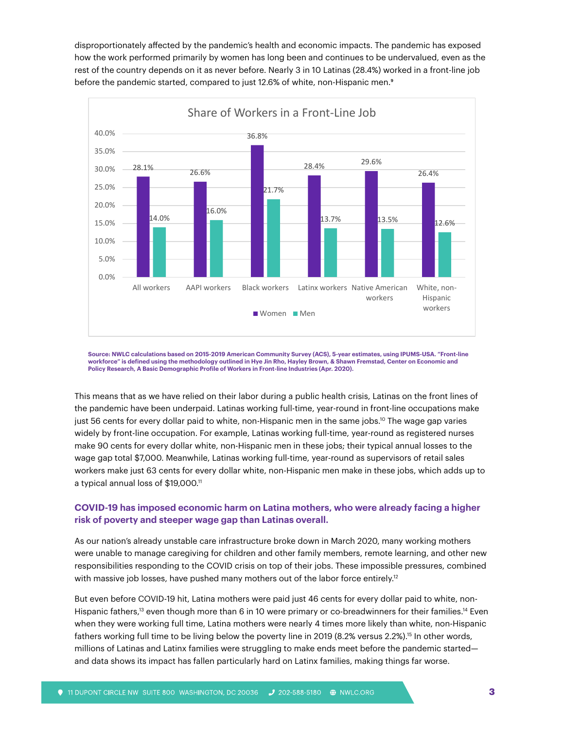disproportionately affected by the pandemic's health and economic impacts. The pandemic has exposed how the work performed primarily by women has long been and continues to be undervalued, even as the rest of the country depends on it as never before. Nearly 3 in 10 Latinas (28.4%) worked in a front-line job before the pandemic started, compared to just 12.6% of white, non-Hispanic men.<sup>9</sup>



**Source: NWLC calculations based on 2015-2019 American Community Survey (ACS), 5-year estimates, using IPUMS-USA. "Front-line workforce" is defined using the methodology outlined in Hye Jin Rho, Hayley Brown, & Shawn Fremstad, Center on Economic and Policy Research, A Basic Demographic Profile of Workers in Front-line Industries (Apr. 2020).**

This means that as we have relied on their labor during a public health crisis, Latinas on the front lines of the pandemic have been underpaid. Latinas working full-time, year-round in front-line occupations make just 56 cents for every dollar paid to white, non-Hispanic men in the same jobs.<sup>10</sup> The wage gap varies widely by front-line occupation. For example, Latinas working full-time, year-round as registered nurses make 90 cents for every dollar white, non-Hispanic men in these jobs; their typical annual losses to the wage gap total \$7,000. Meanwhile, Latinas working full-time, year-round as supervisors of retail sales workers make just 63 cents for every dollar white, non-Hispanic men make in these jobs, which adds up to a typical annual loss of \$19,000.11

## **COVID-19 has imposed economic harm on Latina mothers, who were already facing a higher risk of poverty and steeper wage gap than Latinas overall.**

As our nation's already unstable care infrastructure broke down in March 2020, many working mothers were unable to manage caregiving for children and other family members, remote learning, and other new responsibilities responding to the COVID crisis on top of their jobs. These impossible pressures, combined with massive job losses, have pushed many mothers out of the labor force entirely.<sup>12</sup>

But even before COVID-19 hit, Latina mothers were paid just 46 cents for every dollar paid to white, non-Hispanic fathers,<sup>13</sup> even though more than 6 in 10 were primary or co-breadwinners for their families.<sup>14</sup> Even when they were working full time, Latina mothers were nearly 4 times more likely than white, non-Hispanic fathers working full time to be living below the poverty line in 2019 (8.2% versus 2.2%).<sup>15</sup> In other words, millions of Latinas and Latinx families were struggling to make ends meet before the pandemic started and data shows its impact has fallen particularly hard on Latinx families, making things far worse.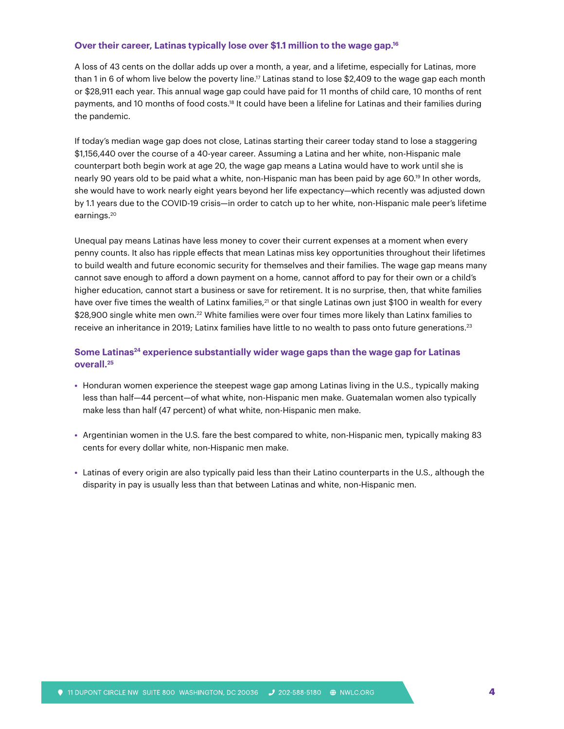# **Over their career, Latinas typically lose over \$1.1 million to the wage gap.16**

A loss of 43 cents on the dollar adds up over a month, a year, and a lifetime, especially for Latinas, more than 1 in 6 of whom live below the poverty line.<sup>17</sup> Latinas stand to lose \$2,409 to the wage gap each month or \$28,911 each year. This annual wage gap could have paid for 11 months of child care, 10 months of rent payments, and 10 months of food costs.18 It could have been a lifeline for Latinas and their families during the pandemic.

If today's median wage gap does not close, Latinas starting their career today stand to lose a staggering \$1,156,440 over the course of a 40-year career. Assuming a Latina and her white, non-Hispanic male counterpart both begin work at age 20, the wage gap means a Latina would have to work until she is nearly 90 years old to be paid what a white, non-Hispanic man has been paid by age 60.19 In other words, she would have to work nearly eight years beyond her life expectancy—which recently was adjusted down by 1.1 years due to the COVID-19 crisis—in order to catch up to her white, non-Hispanic male peer's lifetime earnings.20

Unequal pay means Latinas have less money to cover their current expenses at a moment when every penny counts. It also has ripple effects that mean Latinas miss key opportunities throughout their lifetimes to build wealth and future economic security for themselves and their families. The wage gap means many cannot save enough to afford a down payment on a home, cannot afford to pay for their own or a child's higher education, cannot start a business or save for retirement. It is no surprise, then, that white families have over five times the wealth of Latinx families,<sup>21</sup> or that single Latinas own just \$100 in wealth for every \$28,900 single white men own.<sup>22</sup> White families were over four times more likely than Latinx families to receive an inheritance in 2019; Latinx families have little to no wealth to pass onto future generations.23

## Some Latinas<sup>24</sup> experience substantially wider wage gaps than the wage gap for Latinas **overall.25**

- **•** Honduran women experience the steepest wage gap among Latinas living in the U.S., typically making less than half—44 percent—of what white, non-Hispanic men make. Guatemalan women also typically make less than half (47 percent) of what white, non-Hispanic men make.
- **•** Argentinian women in the U.S. fare the best compared to white, non-Hispanic men, typically making 83 cents for every dollar white, non-Hispanic men make.
- **•** Latinas of every origin are also typically paid less than their Latino counterparts in the U.S., although the disparity in pay is usually less than that between Latinas and white, non-Hispanic men.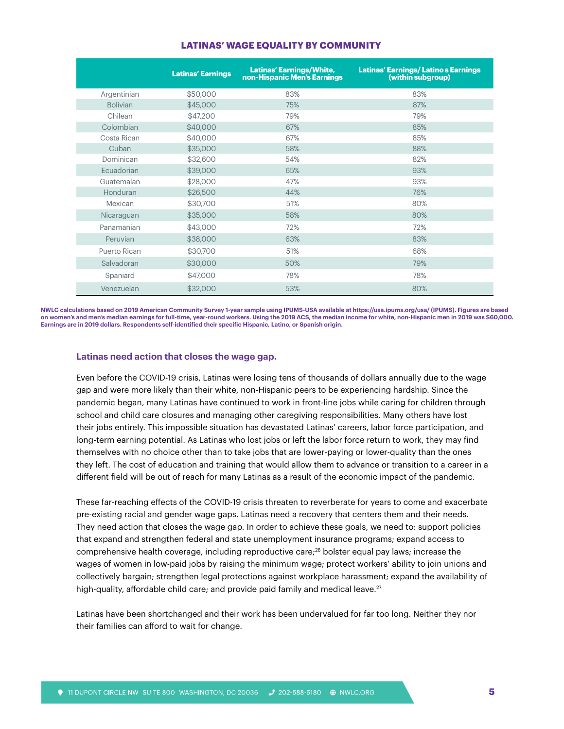|                 | <b>Latinas' Earnings</b> | <b>Latinas' Earnings/White,</b> | <b>Latinas' Earnings/Latino s Earnings</b> |
|-----------------|--------------------------|---------------------------------|--------------------------------------------|
|                 |                          | non-Hispanic Men's Earnings     | (within subgroup)                          |
| Argentinian     | \$50,000                 | 83%                             | 83%                                        |
| <b>Bolivian</b> | \$45,000                 | 75%                             | 87%                                        |
| Chilean         | \$47,200                 | 79%                             | 79%                                        |
| Colombian       | \$40,000                 | 67%                             | 85%                                        |
| Costa Rican     | \$40,000                 | 67%                             | 85%                                        |
| Cuban           | \$35,000                 | 58%                             | 88%                                        |
| Dominican       | \$32,600                 | 54%                             | 82%                                        |
| Ecuadorian      | \$39,000                 | 65%                             | 93%                                        |
| Guatemalan      | \$28,000                 | 47%                             | 93%                                        |
| Honduran        | \$26,500                 | 44%                             | 76%                                        |
| Mexican         | \$30,700                 | 51%                             | 80%                                        |
| Nicaraguan      | \$35,000                 | 58%                             | 80%                                        |
| Panamanian      | \$43,000                 | 72%                             | 72%                                        |
| Peruvian        | \$38,000                 | 63%                             | 83%                                        |
| Puerto Rican    | \$30,700                 | 51%                             | 68%                                        |
| Salvadoran      | \$30,000                 | 50%                             | 79%                                        |
| Spaniard        | \$47,000                 | 78%                             | 78%                                        |
| Venezuelan      | \$32,000                 | 53%                             | 80%                                        |

## **LATINAS' WAGE EQUALITY BY COMMUNITY**

**NWLC calculations based on 2019 American Community Survey 1-year sample using IPUMS-USA available at<https://usa.ipums.org/usa/>(IPUMS). Figures are based on women's and men's median earnings for full-time, year-round workers. Using the 2019 ACS, the median income for white, non-Hispanic men in 2019 was \$60,000. Earnings are in 2019 dollars. Respondents self-identified their specific Hispanic, Latino, or Spanish origin.**

#### **Latinas need action that closes the wage gap.**

Even before the COVID-19 crisis, Latinas were losing tens of thousands of dollars annually due to the wage gap and were more likely than their white, non-Hispanic peers to be experiencing hardship. Since the pandemic began, many Latinas have continued to work in front-line jobs while caring for children through school and child care closures and managing other caregiving responsibilities. Many others have lost their jobs entirely. This impossible situation has devastated Latinas' careers, labor force participation, and long-term earning potential. As Latinas who lost jobs or left the labor force return to work, they may find themselves with no choice other than to take jobs that are lower-paying or lower-quality than the ones they left. The cost of education and training that would allow them to advance or transition to a career in a different field will be out of reach for many Latinas as a result of the economic impact of the pandemic.

These far-reaching effects of the COVID-19 crisis threaten to reverberate for years to come and exacerbate pre-existing racial and gender wage gaps. Latinas need a recovery that centers them and their needs. They need action that closes the wage gap. In order to achieve these goals, we need to: support policies that expand and strengthen federal and state unemployment insurance programs; expand access to comprehensive health coverage, including reproductive care;26 bolster equal pay laws; increase the wages of women in low-paid jobs by raising the minimum wage; protect workers' ability to join unions and collectively bargain; strengthen legal protections against workplace harassment; expand the availability of high-quality, affordable child care; and provide paid family and medical leave.<sup>27</sup>

Latinas have been shortchanged and their work has been undervalued for far too long. Neither they nor their families can afford to wait for change.